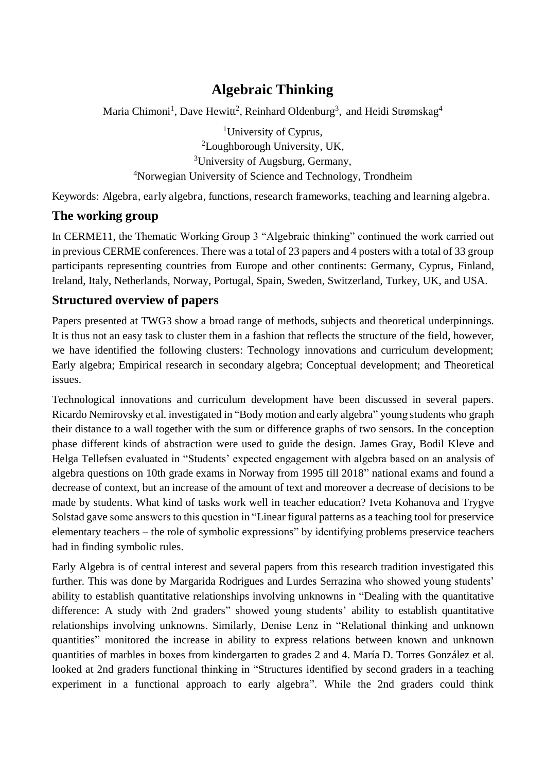# Algebraic Thinking

Maria Chimoni<sup>1</sup>, Dave Hewitt<sup>2</sup>, Reinhard Oldenburg<sup>3</sup>, and Heidi Strømskag<sup>4</sup>

University of Cyprus, Loughborough University, UK, University of Augsburg, Germany, Norwegian University of Science and Technology, Trondheim

Keywords: Algebra, early algebra, functions, research frameworks, teaching and learning algebra.

## The working group

In CERME11, the Thematic Working Group 3 "Algebraic thinking" continued the work carried out in previous CERME conferences. There was a total of 23 papers and 4 posters with a total of 33 group participants representing countries from Europe and other continents: Germany, Cyprus, Finland, Ireland, Italy, Netherlands, Norway, Portugal, Spain, Sweden, Switzerland, Turkey, UK, and USA.

## Structured overview of papers

Papers presented at TWG3 show a broad range of methods, subjects and theoretical underpinnings. It is thus not an easy task to cluster them in a fashion that reflects the structure of the field, however, we have identified the following clusters: Technology innovations and curriculum development; Early algebra; Empirical research in secondary algebra; Conceptual development; and Theoretical issues.

Technological innovations and curriculum development have been discussed in several papers. Ricardo Nemirovsky et al. investigated in "Body motion and early algebra" young students who graph their distance to a wall together with the sum or difference graphs of two sensors. In the conception phase different kinds of abstraction were used to guide the design. James Gray, Bodil Kleve and Helga Tellefsen evaluated in "Students' expected engagement with algebra based on an analysis of algebra questions on 10th grade exams in Norway from 1995 till 2018" national exams and found a decrease of context, but an increase of the amount of text and moreover a decrease of decisions to be made by students. What kind of tasks work well in teacher education? Iveta Kohanova and Trygve Solstad gave some answers to this question in "Linear figural patterns as a teaching tool for preservice elementary teachers – the role of symbolic expressions" by identifying problems preservice teachers had in finding symbolic rules.

Early Algebra is of central interest and several papers from this research tradition investigated this further. This was done by Margarida Rodrigues and Lurdes Serrazina who showed young students' ability to establish quantitative relationships involving unknowns in "Dealing with the quantitative difference: A study with 2nd graders" showed young students' ability to establish quantitative relationships involving unknowns. Similarly, Denise Lenz in "Relational thinking and unknown quantities" monitored the increase in ability to express relations between known and unknown quantities of marbles in boxes from kindergarten to grades 2 and 4. María D. Torres González et al. looked at 2nd graders functional thinking in "Structures identified by second graders in a teaching experiment in a functional approach to early algebra". While the 2nd graders could think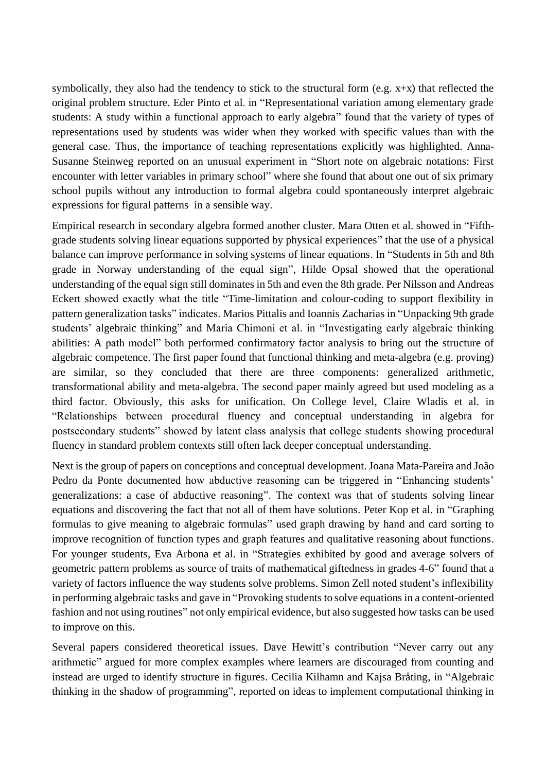symbolically, they also had the tendency to stick to the structural form (e.g.  $x+x$ ) that reflected the original problem structure. Eder Pinto et al. in "Representational variation among elementary grade students: A study within a functional approach to early algebra" found that the variety of types of representations used by students was wider when they worked with specific values than with the general case. Thus, the importance of teaching representations explicitly was highlighted. Anna-Susanne Steinweg reported on an unusual experiment in "Short note on algebraic notations: First encounter with letter variables in primary school" where she found that about one out of six primary school pupils without any introduction to formal algebra could spontaneously interpret algebraic expressions for figural patterns in a sensible way.

Empirical research in secondary algebra formed another cluster. Mara Otten et al. showed in "Fifthgrade students solving linear equations supported by physical experiences" that the use of a physical balance can improve performance in solving systems of linear equations. In "Students in 5th and 8th grade in Norway understanding of the equal sign", Hilde Opsal showed that the operational understanding of the equal sign still dominates in 5th and even the 8th grade. Per Nilsson and Andreas Eckert showed exactly what the title "Time-limitation and colour-coding to support flexibility in pattern generalization tasks" indicates. Marios Pittalis and Ioannis Zacharias in "Unpacking 9th grade students' algebraic thinking" and Maria Chimoni et al. in "Investigating early algebraic thinking abilities: A path model" both performed confirmatory factor analysis to bring out the structure of algebraic competence. The first paper found that functional thinking and meta-algebra (e.g. proving) are similar, so they concluded that there are three components: generalized arithmetic, transformational ability and meta-algebra. The second paper mainly agreed but used modeling as a third factor. Obviously, this asks for unification. On College level, Claire Wladis et al. in "Relationships between procedural fluency and conceptual understanding in algebra for postsecondary students" showed by latent class analysis that college students showing procedural fluency in standard problem contexts still often lack deeper conceptual understanding.

Next is the group of papers on conceptions and conceptual development. Joana Mata-Pareira and João Pedro da Ponte documented how abductive reasoning can be triggered in "Enhancing students' generalizations: a case of abductive reasoning". The context was that of students solving linear equations and discovering the fact that not all of them have solutions. Peter Kop et al. in "Graphing formulas to give meaning to algebraic formulas" used graph drawing by hand and card sorting to improve recognition of function types and graph features and qualitative reasoning about functions. For younger students, Eva Arbona et al. in "Strategies exhibited by good and average solvers of geometric pattern problems as source of traits of mathematical giftedness in grades 4-6" found that a variety of factors influence the way students solve problems. Simon Zell noted student's inflexibility in performing algebraic tasks and gave in "Provoking students to solve equations in a content-oriented fashion and not using routines" not only empirical evidence, but also suggested how tasks can be used to improve on this.

Several papers considered theoretical issues. Dave Hewitt's contribution "Never carry out any arithmetic" argued for more complex examples where learners are discouraged from counting and instead are urged to identify structure in figures. Cecilia Kilhamn and Kajsa Bråting, in "Algebraic thinking in the shadow of programming", reported on ideas to implement computational thinking in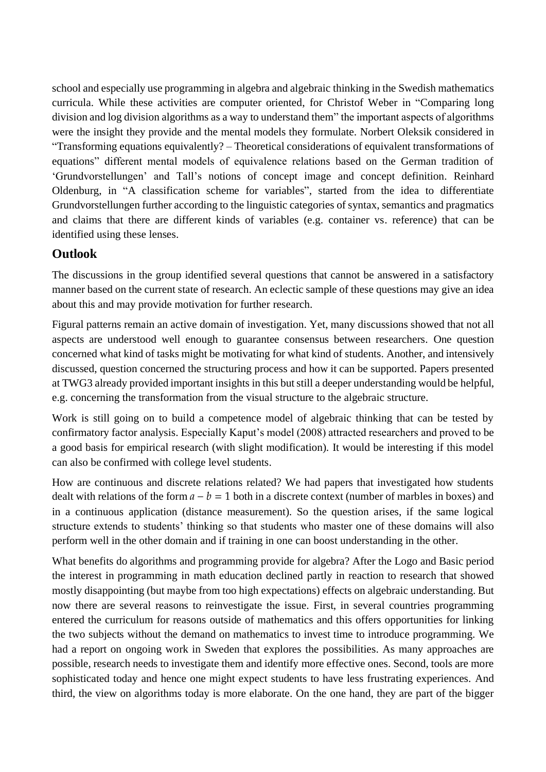school and especially use programming in algebra and algebraic thinking in the Swedish mathematics curricula. While these activities are computer oriented, for Christof Weber in "Comparing long division and log division algorithms as a way to understand them" the important aspects of algorithms were the insight they provide and the mental models they formulate. Norbert Oleksik considered in "Transforming equations equivalently? – Theoretical considerations of equivalent transformations of equations" different mental models of equivalence relations based on the German tradition of 'Grundvorstellungen' and Tall's notions of concept image and concept definition. Reinhard Oldenburg, in "A classification scheme for variables", started from the idea to differentiate Grundvorstellungen further according to the linguistic categories of syntax, semantics and pragmatics and claims that there are different kinds of variables (e.g. container vs. reference) that can be identified using these lenses.

### Outlook

The discussions in the group identified several questions that cannot be answered in a satisfactory manner based on the current state of research. An eclectic sample of these questions may give an idea about this and may provide motivation for further research.

Figural patterns remain an active domain of investigation. Yet, many discussions showed that not all aspects are understood well enough to guarantee consensus between researchers. One question concerned what kind of tasks might be motivating for what kind of students. Another, and intensively discussed, question concerned the structuring process and how it can be supported. Papers presented at TWG3 already provided important insights in this but still a deeper understanding would be helpful, e.g. concerning the transformation from the visual structure to the algebraic structure.

Work is still going on to build a competence model of algebraic thinking that can be tested by confirmatory factor analysis. Especially Kaput's model (2008) attracted researchers and proved to be a good basis for empirical research (with slight modification). It would be interesting if this model can also be confirmed with college level students.

How are continuous and discrete relations related? We had papers that investigated how students dealt with relations of the form  $a - b = 1$  both in a discrete context (number of marbles in boxes) and in a continuous application (distance measurement). So the question arises, if the same logical structure extends to students' thinking so that students who master one of these domains will also perform well in the other domain and if training in one can boost understanding in the other.

What benefits do algorithms and programming provide for algebra? After the Logo and Basic period the interest in programming in math education declined partly in reaction to research that showed mostly disappointing (but maybe from too high expectations) effects on algebraic understanding. But now there are several reasons to reinvestigate the issue. First, in several countries programming entered the curriculum for reasons outside of mathematics and this offers opportunities for linking the two subjects without the demand on mathematics to invest time to introduce programming. We had a report on ongoing work in Sweden that explores the possibilities. As many approaches are possible, research needs to investigate them and identify more effective ones. Second, tools are more sophisticated today and hence one might expect students to have less frustrating experiences. And third, the view on algorithms today is more elaborate. On the one hand, they are part of the bigger